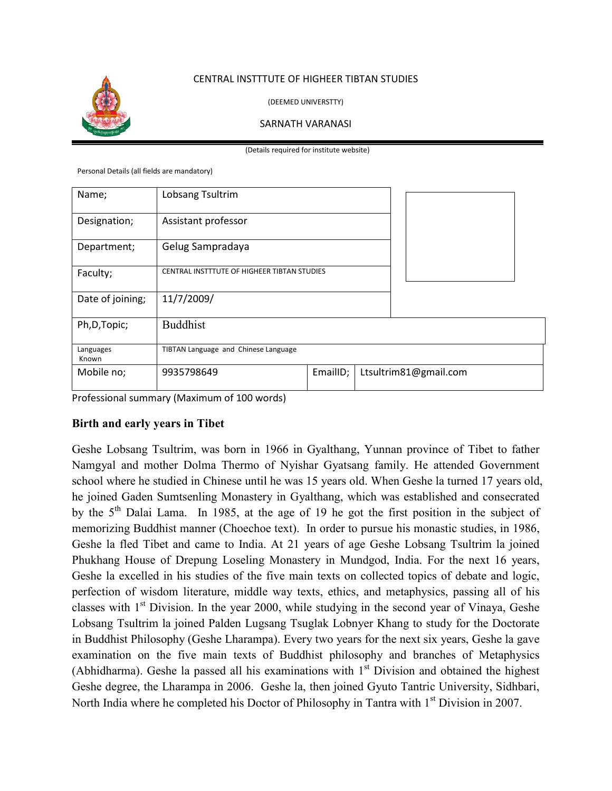

## CENTRAL INSTTTUTE OF HIGHEER TIBTAN STUDIES

(DEEMED UNIVERSTTY)

#### SARNATH VARANASI

(Details required for institute website)

Personal Details (all fields are mandatory)

| Name;              | Lobsang Tsultrim                            |          |  |                       |
|--------------------|---------------------------------------------|----------|--|-----------------------|
| Designation;       | Assistant professor                         |          |  |                       |
| Department;        | Gelug Sampradaya                            |          |  |                       |
| Faculty;           | CENTRAL INSTTTUTE OF HIGHEER TIBTAN STUDIES |          |  |                       |
| Date of joining;   | 11/7/2009/                                  |          |  |                       |
| Ph, D, Topic;      | <b>Buddhist</b>                             |          |  |                       |
| Languages<br>Known | TIBTAN Language and Chinese Language        |          |  |                       |
| Mobile no;         | 9935798649                                  | EmailID; |  | Ltsultrim81@gmail.com |

Professional summary (Maximum of 100 words)

# **Birth and early years in Tibet**

Geshe Lobsang Tsultrim, was born in 1966 in Gyalthang, Yunnan province of Tibet to father Namgyal and mother Dolma Thermo of Nyishar Gyatsang family. He attended Government school where he studied in Chinese until he was 15 years old. When Geshe la turned 17 years old, he joined Gaden Sumtsenling Monastery in Gyalthang, which was established and consecrated by the  $5<sup>th</sup>$  Dalai Lama. In 1985, at the age of 19 he got the first position in the subject of memorizing Buddhist manner (Choechoe text). In order to pursue his monastic studies, in 1986, Geshe la fled Tibet and came to India. At 21 years of age Geshe Lobsang Tsultrim la joined Phukhang House of Drepung Loseling Monastery in Mundgod, India. For the next 16 years, Geshe la excelled in his studies of the five main texts on collected topics of debate and logic, perfection of wisdom literature, middle way texts, ethics, and metaphysics, passing all of his classes with 1<sup>st</sup> Division. In the year 2000, while studying in the second year of Vinaya, Geshe Lobsang Tsultrim la joined Palden Lugsang Tsuglak Lobnyer Khang to study for the Doctorate in Buddhist Philosophy (Geshe Lharampa). Every two years for the next six years, Geshe la gave examination on the five main texts of Buddhist philosophy and branches of Metaphysics (Abhidharma). Geshe la passed all his examinations with  $1<sup>st</sup>$  Division and obtained the highest Geshe degree, the Lharampa in 2006. Geshe la, then joined Gyuto Tantric University, Sidhbari, North India where he completed his Doctor of Philosophy in Tantra with 1<sup>st</sup> Division in 2007.